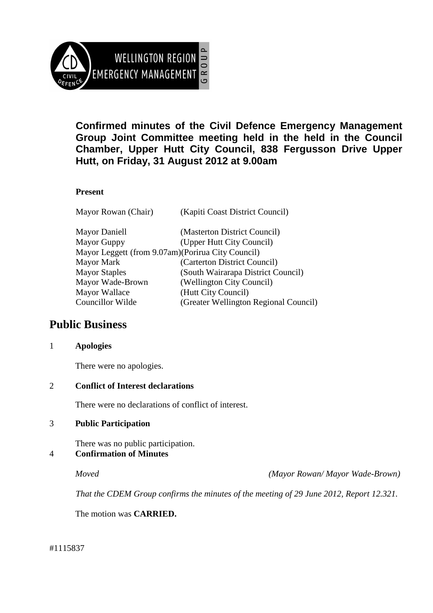

**Confirmed minutes of the Civil Defence Emergency Management Group Joint Committee meeting held in the held in the Council Chamber, Upper Hutt City Council, 838 Fergusson Drive Upper Hutt, on Friday, 31 August 2012 at 9.00am** 

### **Present**

| Mayor Rowan (Chair)                                | (Kapiti Coast District Council)       |
|----------------------------------------------------|---------------------------------------|
| Mayor Daniell                                      | (Masterton District Council)          |
| Mayor Guppy                                        | (Upper Hutt City Council)             |
| Mayor Leggett (from 9.07am) (Porirua City Council) |                                       |
| Mayor Mark                                         | (Carterton District Council)          |
| <b>Mayor Staples</b>                               | (South Wairarapa District Council)    |
| Mayor Wade-Brown                                   | (Wellington City Council)             |
| Mayor Wallace                                      | (Hutt City Council)                   |
| Councillor Wilde                                   | (Greater Wellington Regional Council) |
|                                                    |                                       |

# **Public Business**

#### 1 **Apologies**

There were no apologies.

#### 2 **Conflict of Interest declarations**

There were no declarations of conflict of interest.

#### 3 **Public Participation**

There was no public participation.

## 4 **Confirmation of Minutes**

*Moved (Mayor Rowan/ Mayor Wade-Brown)* 

*That the CDEM Group confirms the minutes of the meeting of 29 June 2012, Report 12.321.* 

The motion was **CARRIED.** 

#1115837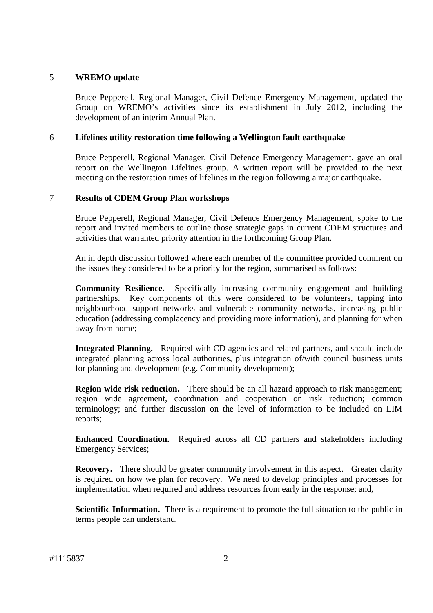#### 5 **WREMO update**

Bruce Pepperell, Regional Manager, Civil Defence Emergency Management, updated the Group on WREMO's activities since its establishment in July 2012, including the development of an interim Annual Plan.

#### 6 **Lifelines utility restoration time following a Wellington fault earthquake**

Bruce Pepperell, Regional Manager, Civil Defence Emergency Management, gave an oral report on the Wellington Lifelines group. A written report will be provided to the next meeting on the restoration times of lifelines in the region following a major earthquake.

#### 7 **Results of CDEM Group Plan workshops**

Bruce Pepperell, Regional Manager, Civil Defence Emergency Management, spoke to the report and invited members to outline those strategic gaps in current CDEM structures and activities that warranted priority attention in the forthcoming Group Plan.

An in depth discussion followed where each member of the committee provided comment on the issues they considered to be a priority for the region, summarised as follows:

**Community Resilience.** Specifically increasing community engagement and building partnerships. Key components of this were considered to be volunteers, tapping into neighbourhood support networks and vulnerable community networks, increasing public education (addressing complacency and providing more information), and planning for when away from home;

**Integrated Planning.** Required with CD agencies and related partners, and should include integrated planning across local authorities, plus integration of/with council business units for planning and development (e.g. Community development);

**Region wide risk reduction.** There should be an all hazard approach to risk management; region wide agreement, coordination and cooperation on risk reduction; common terminology; and further discussion on the level of information to be included on LIM reports;

**Enhanced Coordination.** Required across all CD partners and stakeholders including Emergency Services;

**Recovery.** There should be greater community involvement in this aspect. Greater clarity is required on how we plan for recovery. We need to develop principles and processes for implementation when required and address resources from early in the response; and,

**Scientific Information.** There is a requirement to promote the full situation to the public in terms people can understand.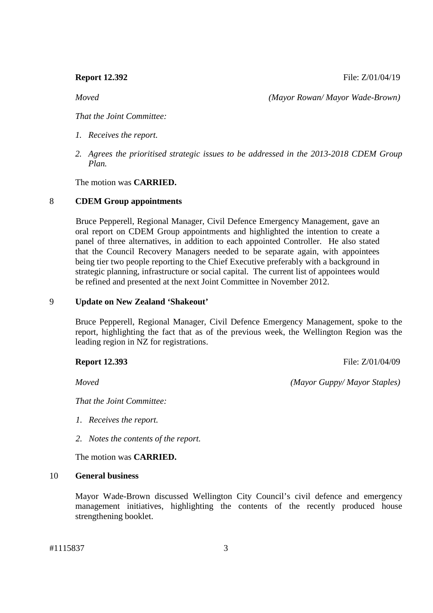**Report 12.392 File:** Z/01/04/19

*Moved (Mayor Rowan/ Mayor Wade-Brown)* 

*That the Joint Committee:* 

- *1. Receives the report.*
- *2. Agrees the prioritised strategic issues to be addressed in the 2013-2018 CDEM Group Plan.*

The motion was **CARRIED.**

#### 8 **CDEM Group appointments**

Bruce Pepperell, Regional Manager, Civil Defence Emergency Management, gave an oral report on CDEM Group appointments and highlighted the intention to create a panel of three alternatives, in addition to each appointed Controller. He also stated that the Council Recovery Managers needed to be separate again, with appointees being tier two people reporting to the Chief Executive preferably with a background in strategic planning, infrastructure or social capital. The current list of appointees would be refined and presented at the next Joint Committee in November 2012.

#### 9 **Update on New Zealand 'Shakeout'**

Bruce Pepperell, Regional Manager, Civil Defence Emergency Management, spoke to the report, highlighting the fact that as of the previous week, the Wellington Region was the leading region in NZ for registrations.

#### **Report 12.393** File: Z/01/04/09

*That the Joint Committee:* 

- *1. Receives the report.*
- *2. Notes the contents of the report.*

The motion was **CARRIED.** 

#### 10 **General business**

Mayor Wade-Brown discussed Wellington City Council's civil defence and emergency management initiatives, highlighting the contents of the recently produced house strengthening booklet.

*Moved (Mayor Guppy/ Mayor Staples)*